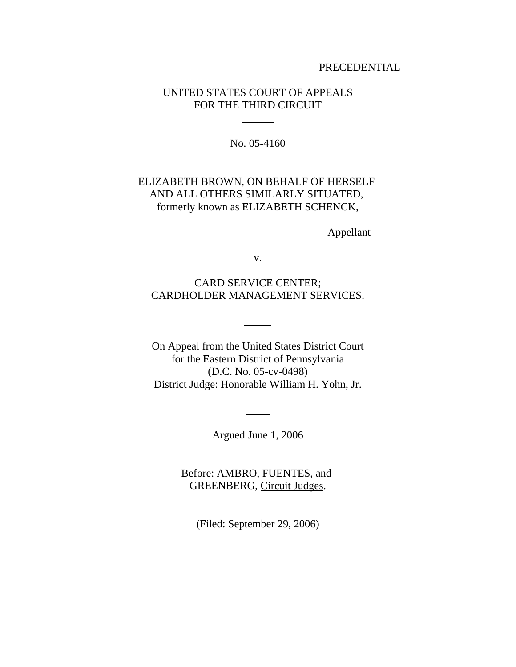### PRECEDENTIAL

# UNITED STATES COURT OF APPEALS FOR THE THIRD CIRCUIT

l

 $\overline{a}$ 

No. 05-4160

# ELIZABETH BROWN, ON BEHALF OF HERSELF AND ALL OTHERS SIMILARLY SITUATED, formerly known as ELIZABETH SCHENCK,

Appellant

v.

CARD SERVICE CENTER; CARDHOLDER MANAGEMENT SERVICES.

 $\overline{a}$ 

On Appeal from the United States District Court for the Eastern District of Pennsylvania (D.C. No. 05-cv-0498) District Judge: Honorable William H. Yohn, Jr.

Argued June 1, 2006

 $\overline{a}$ 

Before: AMBRO, FUENTES, and GREENBERG, Circuit Judges.

(Filed: September 29, 2006)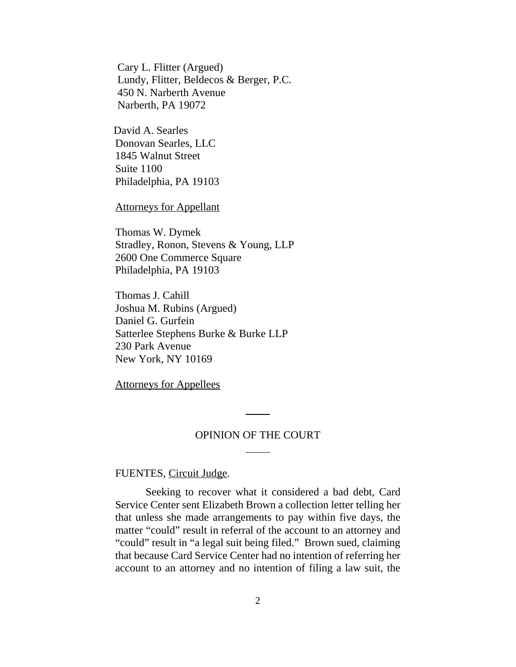Cary L. Flitter (Argued) Lundy, Flitter, Beldecos & Berger, P.C. 450 N. Narberth Avenue Narberth, PA 19072

David A. Searles Donovan Searles, LLC 1845 Walnut Street Suite 1100 Philadelphia, PA 19103

Attorneys for Appellant

Thomas W. Dymek Stradley, Ronon, Stevens & Young, LLP 2600 One Commerce Square Philadelphia, PA 19103

Thomas J. Cahill Joshua M. Rubins (Argued) Daniel G. Gurfein Satterlee Stephens Burke & Burke LLP 230 Park Avenue New York, NY 10169

Attorneys for Appellees

### OPINION OF THE COURT

 $\overline{a}$ 

l

FUENTES, Circuit Judge.

Seeking to recover what it considered a bad debt, Card Service Center sent Elizabeth Brown a collection letter telling her that unless she made arrangements to pay within five days, the matter "could" result in referral of the account to an attorney and "could" result in "a legal suit being filed." Brown sued, claiming that because Card Service Center had no intention of referring her account to an attorney and no intention of filing a law suit, the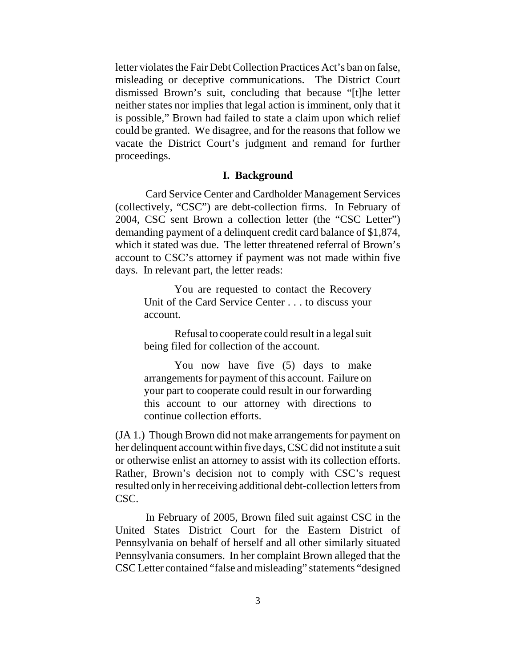letter violates the Fair Debt Collection Practices Act's ban on false, misleading or deceptive communications. The District Court dismissed Brown's suit, concluding that because "[t]he letter neither states nor implies that legal action is imminent, only that it is possible," Brown had failed to state a claim upon which relief could be granted. We disagree, and for the reasons that follow we vacate the District Court's judgment and remand for further proceedings.

#### **I. Background**

Card Service Center and Cardholder Management Services (collectively, "CSC") are debt-collection firms. In February of 2004, CSC sent Brown a collection letter (the "CSC Letter") demanding payment of a delinquent credit card balance of \$1,874, which it stated was due. The letter threatened referral of Brown's account to CSC's attorney if payment was not made within five days. In relevant part, the letter reads:

You are requested to contact the Recovery Unit of the Card Service Center . . . to discuss your account.

Refusal to cooperate could result in a legal suit being filed for collection of the account.

You now have five (5) days to make arrangements for payment of this account. Failure on your part to cooperate could result in our forwarding this account to our attorney with directions to continue collection efforts.

(JA 1.) Though Brown did not make arrangements for payment on her delinquent account within five days, CSC did not institute a suit or otherwise enlist an attorney to assist with its collection efforts. Rather, Brown's decision not to comply with CSC's request resulted only in her receiving additional debt-collection letters from CSC.

In February of 2005, Brown filed suit against CSC in the United States District Court for the Eastern District of Pennsylvania on behalf of herself and all other similarly situated Pennsylvania consumers. In her complaint Brown alleged that the CSC Letter contained "false and misleading" statements "designed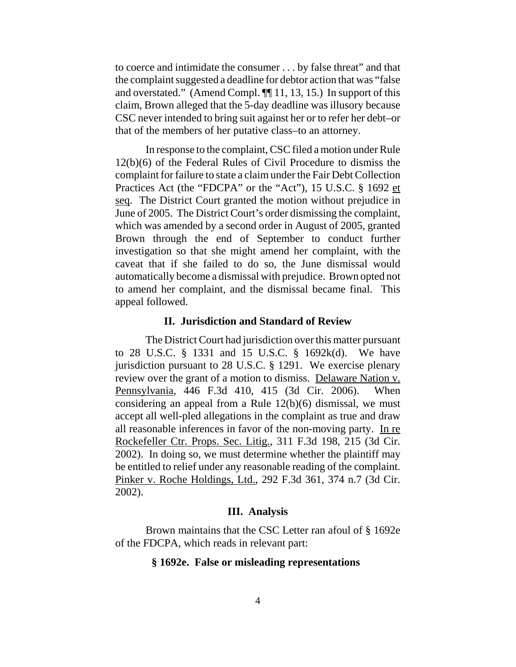to coerce and intimidate the consumer . . . by false threat" and that the complaint suggested a deadline for debtor action that was "false and overstated." (Amend Compl. ¶¶ 11, 13, 15.) In support of this claim, Brown alleged that the 5-day deadline was illusory because CSC never intended to bring suit against her or to refer her debt–or that of the members of her putative class–to an attorney.

In response to the complaint, CSC filed a motion under Rule 12(b)(6) of the Federal Rules of Civil Procedure to dismiss the complaint for failure to state a claim under the Fair Debt Collection Practices Act (the "FDCPA" or the "Act"), 15 U.S.C. § 1692 et seq. The District Court granted the motion without prejudice in June of 2005. The District Court's order dismissing the complaint, which was amended by a second order in August of 2005, granted Brown through the end of September to conduct further investigation so that she might amend her complaint, with the caveat that if she failed to do so, the June dismissal would automatically become a dismissal with prejudice. Brown opted not to amend her complaint, and the dismissal became final. This appeal followed.

### **II. Jurisdiction and Standard of Review**

The District Court had jurisdiction over this matter pursuant to 28 U.S.C. § 1331 and 15 U.S.C. § 1692k(d). We have jurisdiction pursuant to 28 U.S.C. § 1291. We exercise plenary review over the grant of a motion to dismiss. Delaware Nation v. Pennsylvania, 446 F.3d 410, 415 (3d Cir. 2006). When considering an appeal from a Rule 12(b)(6) dismissal, we must accept all well-pled allegations in the complaint as true and draw all reasonable inferences in favor of the non-moving party. In re Rockefeller Ctr. Props. Sec. Litig., 311 F.3d 198, 215 (3d Cir. 2002). In doing so, we must determine whether the plaintiff may be entitled to relief under any reasonable reading of the complaint. Pinker v. Roche Holdings, Ltd., 292 F.3d 361, 374 n.7 (3d Cir. 2002).

#### **III. Analysis**

Brown maintains that the CSC Letter ran afoul of § 1692e of the FDCPA, which reads in relevant part:

## **§ 1692e. False or misleading representations**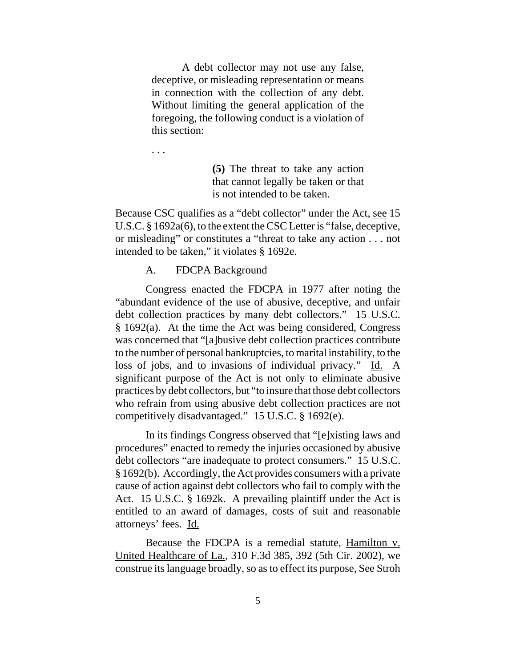A debt collector may not use any false, deceptive, or misleading representation or means in connection with the collection of any debt. Without limiting the general application of the foregoing, the following conduct is a violation of this section:

. . .

**(5)** The threat to take any action that cannot legally be taken or that is not intended to be taken.

Because CSC qualifies as a "debt collector" under the Act, see 15 U.S.C. § 1692a(6), to the extent the CSC Letter is "false, deceptive, or misleading" or constitutes a "threat to take any action . . . not intended to be taken," it violates § 1692e.

## A. FDCPA Background

Congress enacted the FDCPA in 1977 after noting the "abundant evidence of the use of abusive, deceptive, and unfair debt collection practices by many debt collectors." 15 U.S.C. § 1692(a). At the time the Act was being considered, Congress was concerned that "[a]busive debt collection practices contribute to the number of personal bankruptcies, to marital instability, to the loss of jobs, and to invasions of individual privacy." Id. A significant purpose of the Act is not only to eliminate abusive practices by debt collectors, but "to insure that those debt collectors who refrain from using abusive debt collection practices are not competitively disadvantaged." 15 U.S.C. § 1692(e).

In its findings Congress observed that "[e]xisting laws and procedures" enacted to remedy the injuries occasioned by abusive debt collectors "are inadequate to protect consumers." 15 U.S.C. § 1692(b). Accordingly, the Act provides consumers with a private cause of action against debt collectors who fail to comply with the Act. 15 U.S.C. § 1692k. A prevailing plaintiff under the Act is entitled to an award of damages, costs of suit and reasonable attorneys' fees. Id.

Because the FDCPA is a remedial statute, Hamilton v. United Healthcare of La., 310 F.3d 385, 392 (5th Cir. 2002), we construe its language broadly, so as to effect its purpose, See Stroh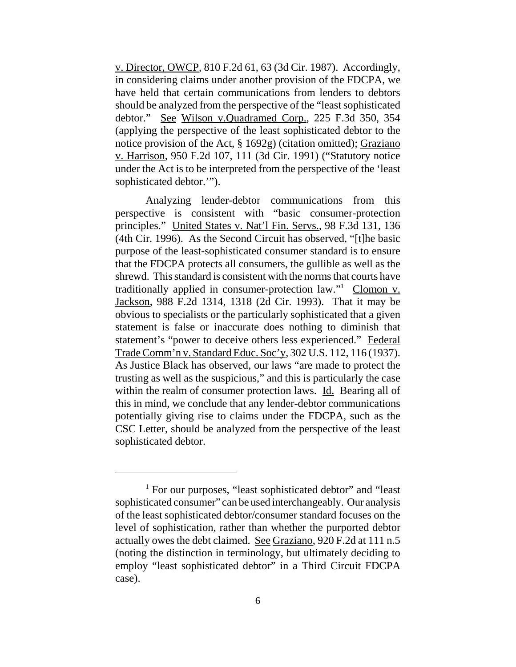v. Director, OWCP, 810 F.2d 61, 63 (3d Cir. 1987). Accordingly, in considering claims under another provision of the FDCPA, we have held that certain communications from lenders to debtors should be analyzed from the perspective of the "least sophisticated debtor." See Wilson v.Quadramed Corp., 225 F.3d 350, 354 (applying the perspective of the least sophisticated debtor to the notice provision of the Act, § 1692g) (citation omitted); Graziano v. Harrison, 950 F.2d 107, 111 (3d Cir. 1991) ("Statutory notice under the Act is to be interpreted from the perspective of the 'least sophisticated debtor.'").

Analyzing lender-debtor communications from this perspective is consistent with "basic consumer-protection principles." United States v. Nat'l Fin. Servs., 98 F.3d 131, 136 (4th Cir. 1996). As the Second Circuit has observed, "[t]he basic purpose of the least-sophisticated consumer standard is to ensure that the FDCPA protects all consumers, the gullible as well as the shrewd. This standard is consistent with the norms that courts have traditionally applied in consumer-protection law."<sup>1</sup> Clomon v. Jackson, 988 F.2d 1314, 1318 (2d Cir. 1993). That it may be obvious to specialists or the particularly sophisticated that a given statement is false or inaccurate does nothing to diminish that statement's "power to deceive others less experienced." Federal Trade Comm'n v. Standard Educ. Soc'y, 302 U.S. 112, 116 (1937). As Justice Black has observed, our laws "are made to protect the trusting as well as the suspicious," and this is particularly the case within the realm of consumer protection laws. Id. Bearing all of this in mind, we conclude that any lender-debtor communications potentially giving rise to claims under the FDCPA, such as the CSC Letter, should be analyzed from the perspective of the least sophisticated debtor.

<sup>&</sup>lt;sup>1</sup> For our purposes, "least sophisticated debtor" and "least sophisticated consumer" can be used interchangeably. Our analysis of the least sophisticated debtor/consumer standard focuses on the level of sophistication, rather than whether the purported debtor actually owes the debt claimed. See Graziano, 920 F.2d at 111 n.5 (noting the distinction in terminology, but ultimately deciding to employ "least sophisticated debtor" in a Third Circuit FDCPA case).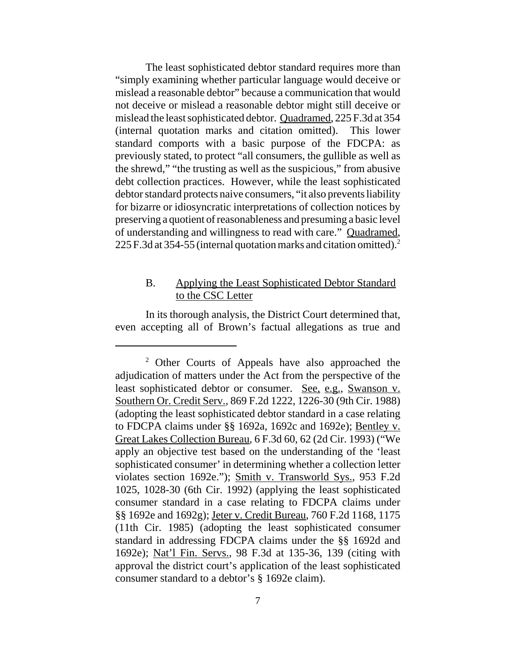The least sophisticated debtor standard requires more than "simply examining whether particular language would deceive or mislead a reasonable debtor" because a communication that would not deceive or mislead a reasonable debtor might still deceive or mislead the least sophisticated debtor. Quadramed, 225 F.3d at 354 (internal quotation marks and citation omitted). This lower standard comports with a basic purpose of the FDCPA: as previously stated, to protect "all consumers, the gullible as well as the shrewd," "the trusting as well as the suspicious," from abusive debt collection practices. However, while the least sophisticated debtor standard protects naive consumers, "it also prevents liability for bizarre or idiosyncratic interpretations of collection notices by preserving a quotient of reasonableness and presuming a basic level of understanding and willingness to read with care." Quadramed, 225 F.3d at 354-55 (internal quotation marks and citation omitted).<sup>2</sup>

# B. Applying the Least Sophisticated Debtor Standard to the CSC Letter

In its thorough analysis, the District Court determined that, even accepting all of Brown's factual allegations as true and

<sup>&</sup>lt;sup>2</sup> Other Courts of Appeals have also approached the adjudication of matters under the Act from the perspective of the least sophisticated debtor or consumer. See, e.g., Swanson v. Southern Or. Credit Serv., 869 F.2d 1222, 1226-30 (9th Cir. 1988) (adopting the least sophisticated debtor standard in a case relating to FDCPA claims under §§ 1692a, 1692c and 1692e); Bentley v. Great Lakes Collection Bureau, 6 F.3d 60, 62 (2d Cir. 1993) ("We apply an objective test based on the understanding of the 'least sophisticated consumer' in determining whether a collection letter violates section 1692e."); Smith v. Transworld Sys., 953 F.2d 1025, 1028-30 (6th Cir. 1992) (applying the least sophisticated consumer standard in a case relating to FDCPA claims under §§ 1692e and 1692g); Jeter v. Credit Bureau, 760 F.2d 1168, 1175 (11th Cir. 1985) (adopting the least sophisticated consumer standard in addressing FDCPA claims under the §§ 1692d and 1692e); Nat'l Fin. Servs., 98 F.3d at 135-36, 139 (citing with approval the district court's application of the least sophisticated consumer standard to a debtor's § 1692e claim).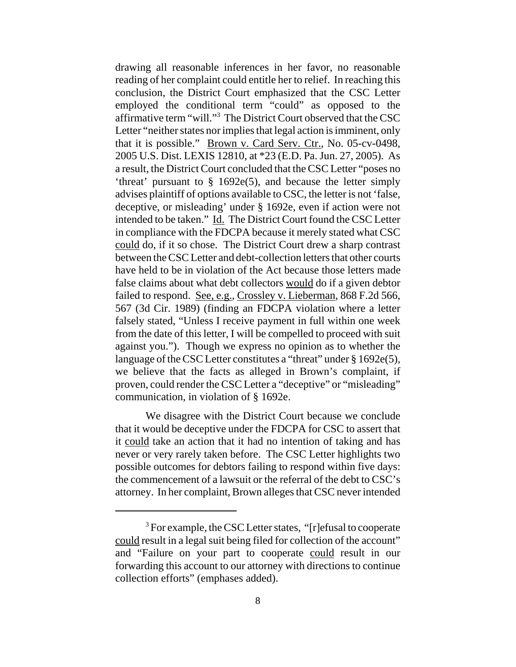drawing all reasonable inferences in her favor, no reasonable reading of her complaint could entitle her to relief. In reaching this conclusion, the District Court emphasized that the CSC Letter employed the conditional term "could" as opposed to the affirmative term "will."3 The District Court observed that the CSC Letter "neither states nor implies that legal action is imminent, only that it is possible." Brown v. Card Serv. Ctr., No. 05-cv-0498, 2005 U.S. Dist. LEXIS 12810, at \*23 (E.D. Pa. Jun. 27, 2005). As a result, the District Court concluded that the CSC Letter "poses no 'threat' pursuant to § 1692e(5), and because the letter simply advises plaintiff of options available to CSC, the letter is not 'false, deceptive, or misleading' under § 1692e, even if action were not intended to be taken." Id. The District Court found the CSC Letter in compliance with the FDCPA because it merely stated what CSC could do, if it so chose. The District Court drew a sharp contrast between the CSC Letter and debt-collection letters that other courts have held to be in violation of the Act because those letters made false claims about what debt collectors would do if a given debtor failed to respond. <u>See, e.g., Crossley v. Lieberman</u>, 868 F.2d 566, 567 (3d Cir. 1989) (finding an FDCPA violation where a letter falsely stated, "Unless I receive payment in full within one week from the date of this letter, I will be compelled to proceed with suit against you."). Though we express no opinion as to whether the language of the CSC Letter constitutes a "threat" under § 1692e(5), we believe that the facts as alleged in Brown's complaint, if proven, could render the CSC Letter a "deceptive" or "misleading" communication, in violation of § 1692e.

We disagree with the District Court because we conclude that it would be deceptive under the FDCPA for CSC to assert that it could take an action that it had no intention of taking and has never or very rarely taken before. The CSC Letter highlights two possible outcomes for debtors failing to respond within five days: the commencement of a lawsuit or the referral of the debt to CSC's attorney. In her complaint, Brown alleges that CSC never intended

<sup>&</sup>lt;sup>3</sup> For example, the CSC Letter states, "[r]efusal to cooperate could result in a legal suit being filed for collection of the account" and "Failure on your part to cooperate could result in our forwarding this account to our attorney with directions to continue collection efforts" (emphases added).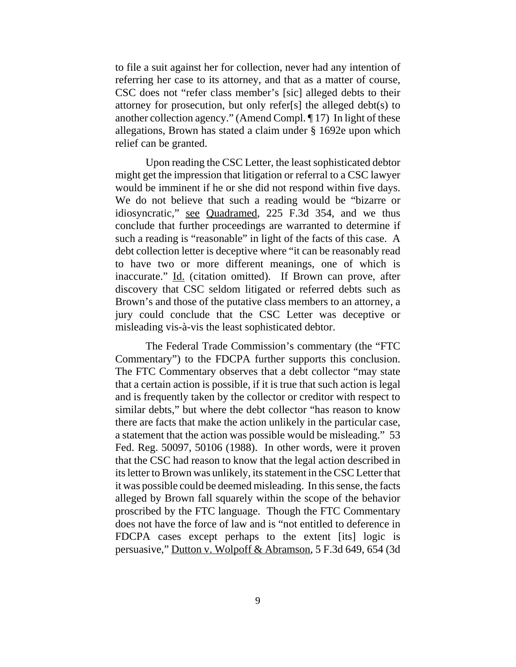to file a suit against her for collection, never had any intention of referring her case to its attorney, and that as a matter of course, CSC does not "refer class member's [sic] alleged debts to their attorney for prosecution, but only refer[s] the alleged debt(s) to another collection agency." (Amend Compl. ¶ 17) In light of these allegations, Brown has stated a claim under § 1692e upon which relief can be granted.

Upon reading the CSC Letter, the least sophisticated debtor might get the impression that litigation or referral to a CSC lawyer would be imminent if he or she did not respond within five days. We do not believe that such a reading would be "bizarre or idiosyncratic," see Quadramed, 225 F.3d 354, and we thus conclude that further proceedings are warranted to determine if such a reading is "reasonable" in light of the facts of this case. A debt collection letter is deceptive where "it can be reasonably read to have two or more different meanings, one of which is inaccurate." Id. (citation omitted). If Brown can prove, after discovery that CSC seldom litigated or referred debts such as Brown's and those of the putative class members to an attorney, a jury could conclude that the CSC Letter was deceptive or misleading vis-à-vis the least sophisticated debtor.

The Federal Trade Commission's commentary (the "FTC Commentary") to the FDCPA further supports this conclusion. The FTC Commentary observes that a debt collector "may state that a certain action is possible, if it is true that such action is legal and is frequently taken by the collector or creditor with respect to similar debts," but where the debt collector "has reason to know there are facts that make the action unlikely in the particular case, a statement that the action was possible would be misleading." 53 Fed. Reg. 50097, 50106 (1988). In other words, were it proven that the CSC had reason to know that the legal action described in its letter to Brown was unlikely, its statement in the CSC Letter that it was possible could be deemed misleading. In this sense, the facts alleged by Brown fall squarely within the scope of the behavior proscribed by the FTC language. Though the FTC Commentary does not have the force of law and is "not entitled to deference in FDCPA cases except perhaps to the extent [its] logic is persuasive," Dutton v. Wolpoff & Abramson, 5 F.3d 649, 654 (3d